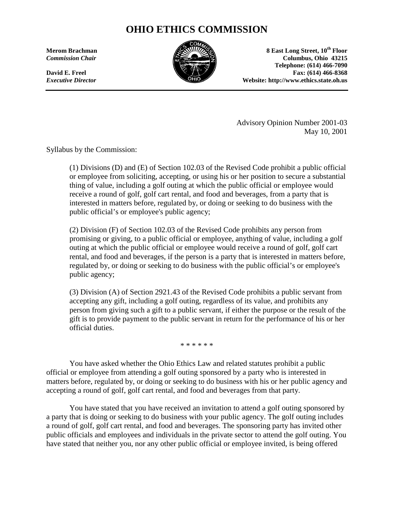# **OHIO ETHICS COMMISSION**



 **10<sup>th</sup> Floor 8 East Long Street, 10<sup>th</sup> Floor <b>8** East Long Street, 10<sup>th</sup> Floor **Commission Chair Columbus, Ohio 43215 Columbus, Ohio 43215 Telephone: (614) 466-7090 David E. Freel Fax: (614) 466-8368 Fax: (614) Fax: (614) Fax: (614) Fax:** (614) *Executive Director* **Website: http://www.ethics.state.oh.us** 

> Advisory Opinion Number 2001-03 May 10, 2001

Syllabus by the Commission:

 receive a round of golf, golf cart rental, and food and beverages, from a party that is (1) Divisions (D) and (E) of Section 102.03 of the Revised Code prohibit a public official or employee from soliciting, accepting, or using his or her position to secure a substantial thing of value, including a golf outing at which the public official or employee would interested in matters before, regulated by, or doing or seeking to do business with the public official's or employee's public agency;

 promising or giving, to a public official or employee, anything of value, including a golf outing at which the public official or employee would receive a round of golf, golf cart regulated by, or doing or seeking to do business with the public official's or employee's (2) Division (F) of Section 102.03 of the Revised Code prohibits any person from rental, and food and beverages, if the person is a party that is interested in matters before, public agency;

 accepting any gift, including a golf outing, regardless of its value, and prohibits any (3) Division (A) of Section 2921.43 of the Revised Code prohibits a public servant from person from giving such a gift to a public servant, if either the purpose or the result of the gift is to provide payment to the public servant in return for the performance of his or her official duties.

\* \* \* \* \* \*

 accepting a round of golf, golf cart rental, and food and beverages from that party. You have asked whether the Ohio Ethics Law and related statutes prohibit a public official or employee from attending a golf outing sponsored by a party who is interested in matters before, regulated by, or doing or seeking to do business with his or her public agency and

 a party that is doing or seeking to do business with your public agency. The golf outing includes a round of golf, golf cart rental, and food and beverages. The sponsoring party has invited other have stated that neither you, nor any other public official or employee invited, is being offered You have stated that you have received an invitation to attend a golf outing sponsored by public officials and employees and individuals in the private sector to attend the golf outing. You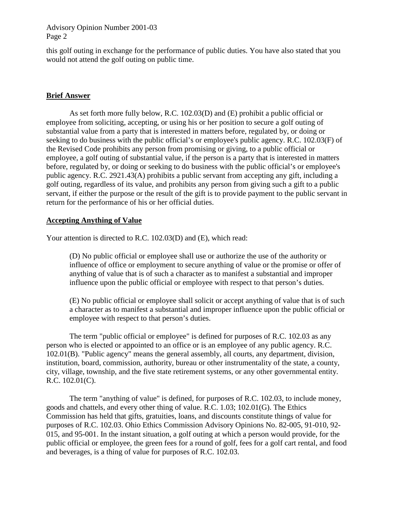this golf outing in exchange for the performance of public duties. You have also stated that you would not attend the golf outing on public time.

## **Brief Answer**

 employee, a golf outing of substantial value, if the person is a party that is interested in matters public agency. R.C. 2921.43(A) prohibits a public servant from accepting any gift, including a As set forth more fully below, R.C. 102.03(D) and (E) prohibit a public official or employee from soliciting, accepting, or using his or her position to secure a golf outing of substantial value from a party that is interested in matters before, regulated by, or doing or seeking to do business with the public official's or employee's public agency. R.C. 102.03(F) of the Revised Code prohibits any person from promising or giving, to a public official or before, regulated by, or doing or seeking to do business with the public official's or employee's golf outing, regardless of its value, and prohibits any person from giving such a gift to a public servant, if either the purpose or the result of the gift is to provide payment to the public servant in return for the performance of his or her official duties.

## **Accepting Anything of Value**

Your attention is directed to R.C. 102.03(D) and (E), which read:

(D) No public official or employee shall use or authorize the use of the authority or influence of office or employment to secure anything of value or the promise or offer of anything of value that is of such a character as to manifest a substantial and improper influence upon the public official or employee with respect to that person's duties.

(E) No public official or employee shall solicit or accept anything of value that is of such a character as to manifest a substantial and improper influence upon the public official or employee with respect to that person's duties.

The term "public official or employee" is defined for purposes of R.C. 102.03 as any person who is elected or appointed to an office or is an employee of any public agency. R.C. 102.01(B). "Public agency" means the general assembly, all courts, any department, division, institution, board, commission, authority, bureau or other instrumentality of the state, a county, city, village, township, and the five state retirement systems, or any other governmental entity. R.C. 102.01(C).

The term "anything of value" is defined, for purposes of R.C. 102.03, to include money, goods and chattels, and every other thing of value. R.C. 1.03; 102.01(G). The Ethics Commission has held that gifts, gratuities, loans, and discounts constitute things of value for purposes of R.C. 102.03. Ohio Ethics Commission Advisory Opinions No. 82-005, 91-010, 92- 015, and 95-001. In the instant situation, a golf outing at which a person would provide, for the public official or employee, the green fees for a round of golf, fees for a golf cart rental, and food and beverages, is a thing of value for purposes of R.C. 102.03.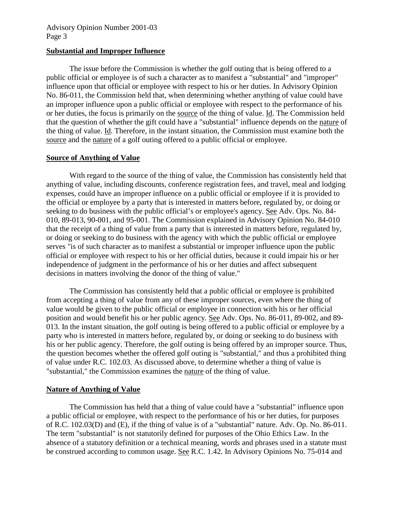#### **Substantial and Improper Influence**

 The issue before the Commission is whether the golf outing that is being offered to a an improper influence upon a public official or employee with respect to the performance of his or her duties, the focus is primarily on the source of the thing of value. Id. The Commission held that the question of whether the gift could have a "substantial" influence depends on the nature of source and the nature of a golf outing offered to a public official or employee. public official or employee is of such a character as to manifest a "substantial" and "improper" influence upon that official or employee with respect to his or her duties. In Advisory Opinion No. 86-011, the Commission held that, when determining whether anything of value could have the thing of value. Id. Therefore, in the instant situation, the Commission must examine both the

#### **Source of Anything of Value**

With regard to the source of the thing of value, the Commission has consistently held that anything of value, including discounts, conference registration fees, and travel, meal and lodging expenses, could have an improper influence on a public official or employee if it is provided to the official or employee by a party that is interested in matters before, regulated by, or doing or seeking to do business with the public official's or employee's agency. See Adv. Ops. No. 84- 010, 89-013, 90-001, and 95-001. The Commission explained in Advisory Opinion No. 84-010 that the receipt of a thing of value from a party that is interested in matters before, regulated by, or doing or seeking to do business with the agency with which the public official or employee serves "is of such character as to manifest a substantial or improper influence upon the public official or employee with respect to his or her official duties, because it could impair his or her independence of judgment in the performance of his or her duties and affect subsequent decisions in matters involving the donor of the thing of value."

 The Commission has consistently held that a public official or employee is prohibited value would be given to the public official or employee in connection with his or her official position and would benefit his or her public agency. See Adv. Ops. No. 86-011, 89-002, and 89- 013. In the instant situation, the golf outing is being offered to a public official or employee by a from accepting a thing of value from any of these improper sources, even where the thing of party who is interested in matters before, regulated by, or doing or seeking to do business with his or her public agency. Therefore, the golf outing is being offered by an improper source. Thus, the question becomes whether the offered golf outing is "substantial," and thus a prohibited thing of value under R.C. 102.03. As discussed above, to determine whether a thing of value is "substantial," the Commission examines the nature of the thing of value.

## **Nature of Anything of Value**

 of R.C. 102.03(D) and (E), if the thing of value is of a "substantial" nature. Adv. Op. No. 86-011. The term "substantial" is not statutorily defined for purposes of the Ohio Ethics Law. In the absence of a statutory definition or a technical meaning, words and phrases used in a statute must The Commission has held that a thing of value could have a "substantial" influence upon a public official or employee, with respect to the performance of his or her duties, for purposes be construed according to common usage. See R.C. 1.42. In Advisory Opinions No. 75-014 and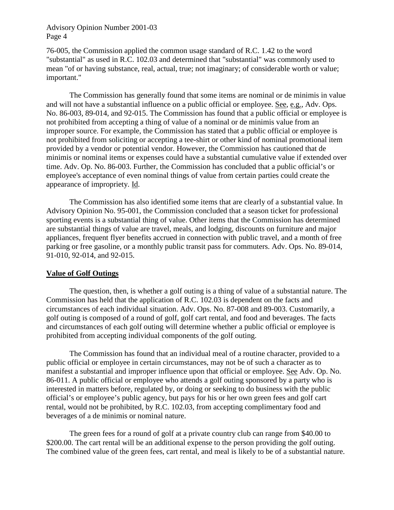important." 76-005, the Commission applied the common usage standard of R.C. 1.42 to the word "substantial" as used in R.C. 102.03 and determined that "substantial" was commonly used to mean "of or having substance, real, actual, true; not imaginary; of considerable worth or value;

appearance of impropriety. Id. The Commission has generally found that some items are nominal or de minimis in value and will not have a substantial influence on a public official or employee. See, e.g., Adv. Ops. No. 86-003, 89-014, and 92-015. The Commission has found that a public official or employee is not prohibited from accepting a thing of value of a nominal or de minimis value from an improper source. For example, the Commission has stated that a public official or employee is not prohibited from soliciting or accepting a tee-shirt or other kind of nominal promotional item provided by a vendor or potential vendor. However, the Commission has cautioned that de minimis or nominal items or expenses could have a substantial cumulative value if extended over time. Adv. Op. No. 86-003. Further, the Commission has concluded that a public official's or employee's acceptance of even nominal things of value from certain parties could create the

 The Commission has also identified some items that are clearly of a substantial value. In Advisory Opinion No. 95-001, the Commission concluded that a season ticket for professional sporting events is a substantial thing of value. Other items that the Commission has determined are substantial things of value are travel, meals, and lodging, discounts on furniture and major appliances, frequent flyer benefits accrued in connection with public travel, and a month of free parking or free gasoline, or a monthly public transit pass for commuters. Adv. Ops. No. 89-014, 91-010, 92-014, and 92-015.

#### **Value of Golf Outings**

 Commission has held that the application of R.C. 102.03 is dependent on the facts and golf outing is composed of a round of golf, golf cart rental, and food and beverages. The facts The question, then, is whether a golf outing is a thing of value of a substantial nature. The circumstances of each individual situation. Adv. Ops. No. 87-008 and 89-003. Customarily, a and circumstances of each golf outing will determine whether a public official or employee is prohibited from accepting individual components of the golf outing.

 public official or employee in certain circumstances, may not be of such a character as to official's or employee's public agency, but pays for his or her own green fees and golf cart The Commission has found that an individual meal of a routine character, provided to a manifest a substantial and improper influence upon that official or employee. See Adv. Op. No. 86-011. A public official or employee who attends a golf outing sponsored by a party who is interested in matters before, regulated by, or doing or seeking to do business with the public rental, would not be prohibited, by R.C. 102.03, from accepting complimentary food and beverages of a de minimis or nominal nature.

The green fees for a round of golf at a private country club can range from \$40.00 to \$200.00. The cart rental will be an additional expense to the person providing the golf outing. The combined value of the green fees, cart rental, and meal is likely to be of a substantial nature.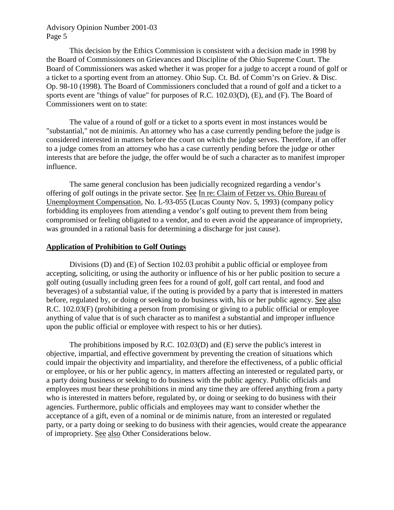This decision by the Ethics Commission is consistent with a decision made in 1998 by Board of Commissioners was asked whether it was proper for a judge to accept a round of golf or the Board of Commissioners on Grievances and Discipline of the Ohio Supreme Court. The a ticket to a sporting event from an attorney. Ohio Sup. Ct. Bd. of Comm'rs on Griev. & Disc. Op. 98-10 (1998). The Board of Commissioners concluded that a round of golf and a ticket to a sports event are "things of value" for purposes of R.C. 102.03(D), (E), and (F). The Board of Commissioners went on to state:

 The value of a round of golf or a ticket to a sports event in most instances would be considered interested in matters before the court on which the judge serves. Therefore, if an offer to a judge comes from an attorney who has a case currently pending before the judge or other "substantial," not de minimis. An attorney who has a case currently pending before the judge is interests that are before the judge, the offer would be of such a character as to manifest improper influence.

The same general conclusion has been judicially recognized regarding a vendor's offering of golf outings in the private sector. See In re: Claim of Fetzer vs. Ohio Bureau of Unemployment Compensation, No. L-93-055 (Lucas County Nov. 5, 1993) (company policy forbidding its employees from attending a vendor's golf outing to prevent them from being compromised or feeling obligated to a vendor, and to even avoid the appearance of impropriety, was grounded in a rational basis for determining a discharge for just cause).

## **Application of Prohibition to Golf Outings**

 accepting, soliciting, or using the authority or influence of his or her public position to secure a before, regulated by, or doing or seeking to do business with, his or her public agency. See also Divisions (D) and (E) of Section 102.03 prohibit a public official or employee from golf outing (usually including green fees for a round of golf, golf cart rental, and food and beverages) of a substantial value, if the outing is provided by a party that is interested in matters R.C. 102.03(F) (prohibiting a person from promising or giving to a public official or employee anything of value that is of such character as to manifest a substantial and improper influence upon the public official or employee with respect to his or her duties).

of impropriety. See also Other Considerations below. The prohibitions imposed by R.C. 102.03(D) and (E) serve the public's interest in objective, impartial, and effective government by preventing the creation of situations which could impair the objectivity and impartiality, and therefore the effectiveness, of a public official or employee, or his or her public agency, in matters affecting an interested or regulated party, or a party doing business or seeking to do business with the public agency. Public officials and employees must bear these prohibitions in mind any time they are offered anything from a party who is interested in matters before, regulated by, or doing or seeking to do business with their agencies. Furthermore, public officials and employees may want to consider whether the acceptance of a gift, even of a nominal or de minimis nature, from an interested or regulated party, or a party doing or seeking to do business with their agencies, would create the appearance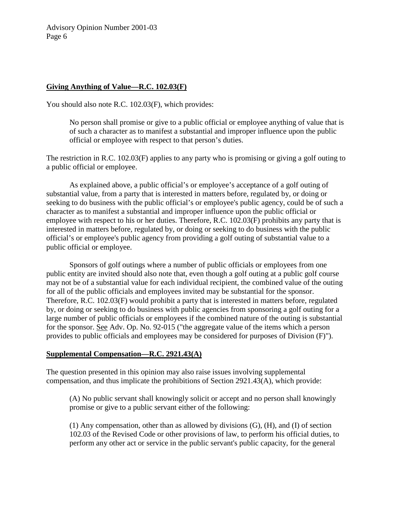## **Giving Anything of Value—R.C. 102.03(F)**

You should also note R.C. 102.03(F), which provides:

No person shall promise or give to a public official or employee anything of value that is of such a character as to manifest a substantial and improper influence upon the public official or employee with respect to that person's duties.

 The restriction in R.C. 102.03(F) applies to any party who is promising or giving a golf outing to a public official or employee.

As explained above, a public official's or employee's acceptance of a golf outing of substantial value, from a party that is interested in matters before, regulated by, or doing or seeking to do business with the public official's or employee's public agency, could be of such a character as to manifest a substantial and improper influence upon the public official or employee with respect to his or her duties. Therefore, R.C. 102.03(F) prohibits any party that is interested in matters before, regulated by, or doing or seeking to do business with the public official's or employee's public agency from providing a golf outing of substantial value to a public official or employee.

 Sponsors of golf outings where a number of public officials or employees from one public entity are invited should also note that, even though a golf outing at a public golf course may not be of a substantial value for each individual recipient, the combined value of the outing for all of the public officials and employees invited may be substantial for the sponsor. Therefore, R.C. 102.03(F) would prohibit a party that is interested in matters before, regulated by, or doing or seeking to do business with public agencies from sponsoring a golf outing for a large number of public officials or employees if the combined nature of the outing is substantial for the sponsor. See Adv. Op. No. 92-015 ("the aggregate value of the items which a person provides to public officials and employees may be considered for purposes of Division (F)").

#### **Supplemental Compensation—R.C. 2921.43(A)**

The question presented in this opinion may also raise issues involving supplemental compensation, and thus implicate the prohibitions of Section 2921.43(A), which provide:

(A) No public servant shall knowingly solicit or accept and no person shall knowingly promise or give to a public servant either of the following:

 perform any other act or service in the public servant's public capacity, for the general (1) Any compensation, other than as allowed by divisions (G), (H), and (I) of section 102.03 of the Revised Code or other provisions of law, to perform his official duties, to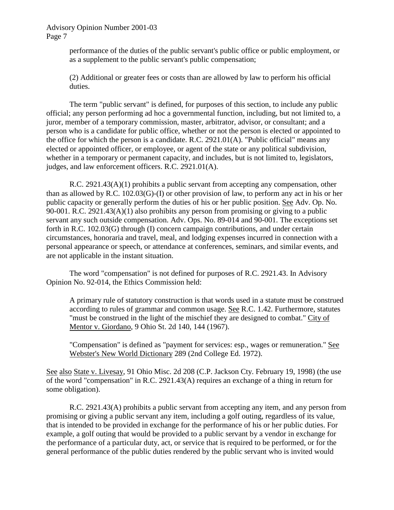performance of the duties of the public servant's public office or public employment, or as a supplement to the public servant's public compensation;

 (2) Additional or greater fees or costs than are allowed by law to perform his official duties.

The term "public servant" is defined, for purposes of this section, to include any public official; any person performing ad hoc a governmental function, including, but not limited to, a juror, member of a temporary commission, master, arbitrator, advisor, or consultant; and a person who is a candidate for public office, whether or not the person is elected or appointed to the office for which the person is a candidate. R.C. 2921.01(A). "Public official" means any elected or appointed officer, or employee, or agent of the state or any political subdivision, whether in a temporary or permanent capacity, and includes, but is not limited to, legislators, judges, and law enforcement officers. R.C. 2921.01(A).

R.C. 2921.43(A)(1) prohibits a public servant from accepting any compensation, other than as allowed by R.C. 102.03(G)-(I) or other provision of law, to perform any act in his or her public capacity or generally perform the duties of his or her public position. See Adv. Op. No. 90-001. R.C. 2921.43(A)(1) also prohibits any person from promising or giving to a public servant any such outside compensation. Adv. Ops. No. 89-014 and 90-001. The exceptions set forth in R.C. 102.03(G) through (I) concern campaign contributions, and under certain circumstances, honoraria and travel, meal, and lodging expenses incurred in connection with a personal appearance or speech, or attendance at conferences, seminars, and similar events, and are not applicable in the instant situation.

Opinion No. 92-014, the Ethics Commission held: The word "compensation" is not defined for purposes of R.C. 2921.43. In Advisory

A primary rule of statutory construction is that words used in a statute must be construed according to rules of grammar and common usage. See R.C. 1.42. Furthermore, statutes "must be construed in the light of the mischief they are designed to combat." City of Mentor v. Giordano, 9 Ohio St. 2d 140, 144 (1967).

"Compensation" is defined as "payment for services: esp., wages or remuneration." See Webster's New World Dictionary 289 (2nd College Ed. 1972).

See also State v. Livesay, 91 Ohio Misc. 2d 208 (C.P. Jackson Cty. February 19, 1998) (the use of the word "compensation" in R.C. 2921.43(A) requires an exchange of a thing in return for some obligation).

 promising or giving a public servant any item, including a golf outing, regardless of its value, the performance of a particular duty, act, or service that is required to be performed, or for the R.C. 2921.43(A) prohibits a public servant from accepting any item, and any person from that is intended to be provided in exchange for the performance of his or her public duties. For example, a golf outing that would be provided to a public servant by a vendor in exchange for general performance of the public duties rendered by the public servant who is invited would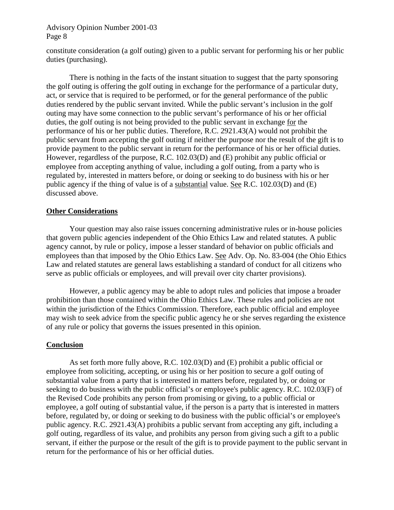constitute consideration (a golf outing) given to a public servant for performing his or her public duties (purchasing).

 There is nothing in the facts of the instant situation to suggest that the party sponsoring duties, the golf outing is not being provided to the public servant in exchange for the public agency if the thing of value is of a substantial value. See R.C. 102.03(D) and (E) the golf outing is offering the golf outing in exchange for the performance of a particular duty, act, or service that is required to be performed, or for the general performance of the public duties rendered by the public servant invited. While the public servant's inclusion in the golf outing may have some connection to the public servant's performance of his or her official performance of his or her public duties. Therefore, R.C. 2921.43(A) would not prohibit the public servant from accepting the golf outing if neither the purpose nor the result of the gift is to provide payment to the public servant in return for the performance of his or her official duties. However, regardless of the purpose, R.C. 102.03(D) and (E) prohibit any public official or employee from accepting anything of value, including a golf outing, from a party who is regulated by, interested in matters before, or doing or seeking to do business with his or her discussed above.

## **Other Considerations**

 that govern public agencies independent of the Ohio Ethics Law and related statutes. A public Your question may also raise issues concerning administrative rules or in-house policies agency cannot, by rule or policy, impose a lesser standard of behavior on public officials and employees than that imposed by the Ohio Ethics Law. See Adv. Op. No. 83-004 (the Ohio Ethics Law and related statutes are general laws establishing a standard of conduct for all citizens who serve as public officials or employees, and will prevail over city charter provisions).

 prohibition than those contained within the Ohio Ethics Law. These rules and policies are not However, a public agency may be able to adopt rules and policies that impose a broader within the jurisdiction of the Ethics Commission. Therefore, each public official and employee may wish to seek advice from the specific public agency he or she serves regarding the existence of any rule or policy that governs the issues presented in this opinion.

#### **Conclusion**

 seeking to do business with the public official's or employee's public agency. R.C. 102.03(F) of employee, a golf outing of substantial value, if the person is a party that is interested in matters public agency. R.C. 2921.43(A) prohibits a public servant from accepting any gift, including a As set forth more fully above, R.C. 102.03(D) and (E) prohibit a public official or employee from soliciting, accepting, or using his or her position to secure a golf outing of substantial value from a party that is interested in matters before, regulated by, or doing or the Revised Code prohibits any person from promising or giving, to a public official or before, regulated by, or doing or seeking to do business with the public official's or employee's golf outing, regardless of its value, and prohibits any person from giving such a gift to a public servant, if either the purpose or the result of the gift is to provide payment to the public servant in return for the performance of his or her official duties.